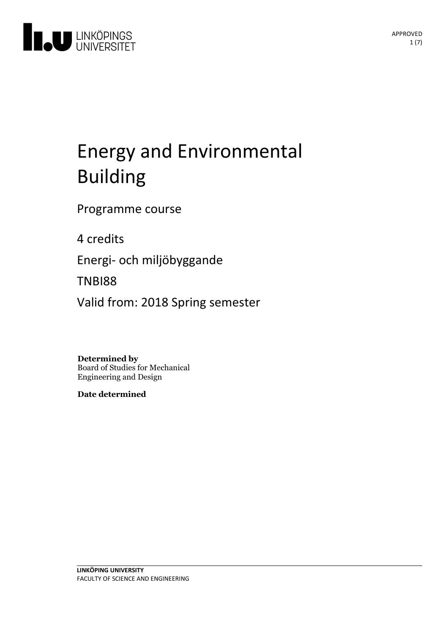

# Energyand Environmental Building

Programme course

4 credits

Energi- och miljöbyggande

TNBI88

Valid from: 2018 Spring semester

**Determined by**

Board of Studies for Mechanical Engineering and Design

**Date determined**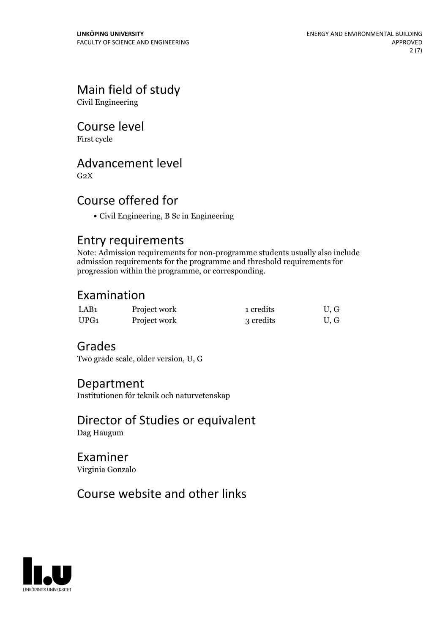# Main field of study

Civil Engineering

## Course level

First cycle

# Advancement level

 $G<sub>2</sub>X$ 

# Course offered for

Civil Engineering, B Sc in Engineering

## Entry requirements

Note: Admission requirements for non-programme students usually also include admission requirements for the programme and threshold requirements for progression within the programme, or corresponding.

# Examination

| LAB1 | Project work | 1 credits | U.G |
|------|--------------|-----------|-----|
| UPG1 | Project work | 3 credits | U.G |

# Grades

Two grade scale, older version, U, G

### Department

Institutionen för teknik och naturvetenskap

### Director of Studies or equivalent Dag Haugum

Examiner

Virginia Gonzalo

# Course website and other links

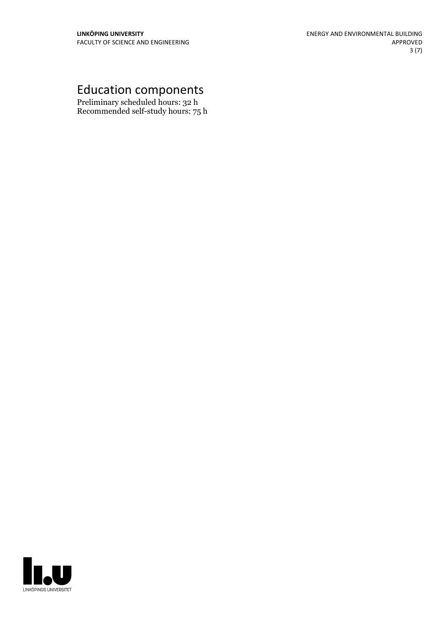# Education components

Preliminary scheduled hours: 32 h Recommended self-study hours: 75 h

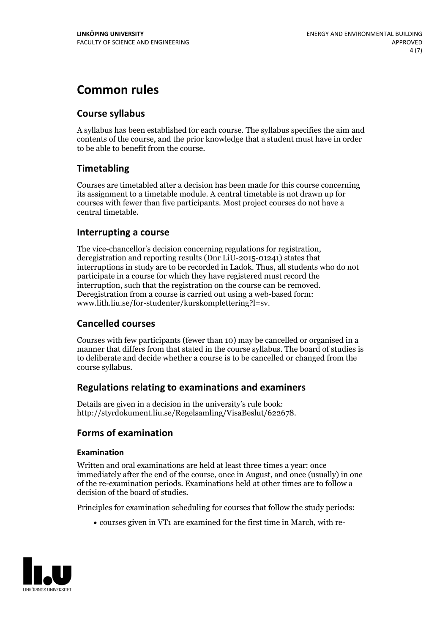# **Common rules**

### **Course syllabus**

A syllabus has been established for each course. The syllabus specifies the aim and contents of the course, and the prior knowledge that a student must have in order to be able to benefit from the course.

### **Timetabling**

Courses are timetabled after a decision has been made for this course concerning its assignment to a timetable module. A central timetable is not drawn up for courses with fewer than five participants. Most project courses do not have a central timetable.

### **Interrupting a course**

The vice-chancellor's decision concerning regulations for registration, deregistration and reporting results (Dnr LiU-2015-01241) states that interruptions in study are to be recorded in Ladok. Thus, all students who do not participate in a course for which they have registered must record the interruption, such that the registration on the course can be removed. Deregistration from <sup>a</sup> course is carried outusing <sup>a</sup> web-based form: www.lith.liu.se/for-studenter/kurskomplettering?l=sv.

### **Cancelled courses**

Courses with few participants (fewer than 10) may be cancelled or organised in a manner that differs from that stated in the course syllabus. The board of studies is to deliberate and decide whether a course is to be cancelled orchanged from the course syllabus.

### **Regulations relatingto examinations and examiners**

Details are given in a decision in the university's rule book: http://styrdokument.liu.se/Regelsamling/VisaBeslut/622678.

### **Forms of examination**

#### **Examination**

Written and oral examinations are held at least three times a year: once immediately after the end of the course, once in August, and once (usually) in one of the re-examination periods. Examinations held at other times are to follow a decision of the board of studies.

Principles for examination scheduling for courses that follow the study periods:

courses given in VT1 are examined for the first time in March, with re-

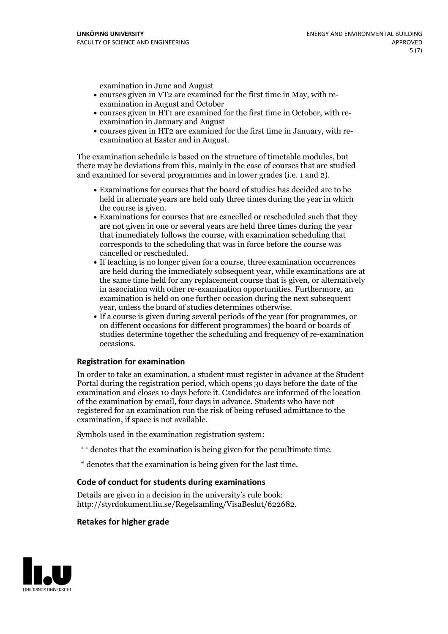examination in June and August

- courses given in VT2 are examined for the first time in May, with re-examination in August and October
- courses given in HT1 are examined for the first time in October, with re-examination in January and August
- courses given in HT2 are examined for the first time in January, with re-examination at Easter and in August.

The examination schedule is based on the structure of timetable modules, but there may be deviations from this, mainly in the case of courses that are studied and examined for several programmes and in lower grades (i.e. 1 and 2).

- Examinations for courses that the board of studies has decided are to be held in alternate years are held only three times during the year in which
- the course is given.<br>• Examinations for courses that are cancelled or rescheduled such that they are not given in one or several years are held three times during the year that immediately follows the course, with examination scheduling that corresponds to the scheduling that was in force before the course was cancelled or rescheduled.<br>• If teaching is no longer given for a course, three examination occurrences
- are held during the immediately subsequent year, while examinations are at the same time held for any replacement course that is given, or alternatively in association with other re-examination opportunities. Furthermore, an examination is held on one further occasion during the next subsequent year, unless the board of studies determines otherwise.<br>• If a course is given during several periods of the year (for programmes, or
- on different occasions for different programmes) the board orboards of studies determine together the scheduling and frequency of re-examination occasions.

#### **Registration for examination**

In order to take an examination, a student must register in advance at the Student Portal during the registration period, which opens 30 days before the date of the examination and closes 10 days before it. Candidates are informed of the location of the examination by email, four days in advance. Students who have not registered for an examination run the risk of being refused admittance to the examination, if space is not available.

Symbols used in the examination registration system:

- \*\* denotes that the examination is being given for the penultimate time.
- \* denotes that the examination is being given for the last time.

#### **Code of conduct for students during examinations**

Details are given in a decision in the university's rule book: http://styrdokument.liu.se/Regelsamling/VisaBeslut/622682.

#### **Retakes for higher grade**

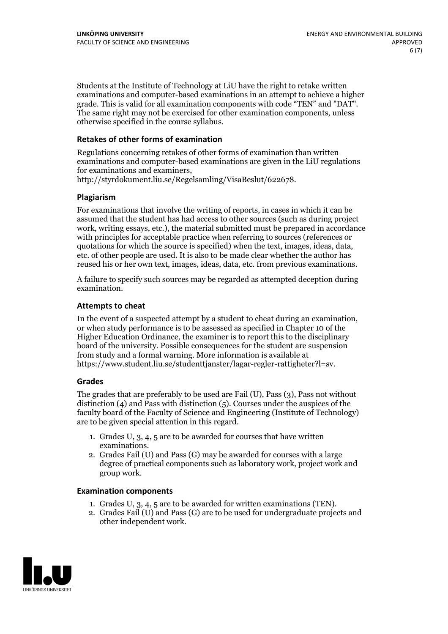Students at the Institute of Technology at LiU have the right to retake written examinations and computer-based examinations in an attempt to achieve a higher grade. This is valid for all examination components with code "TEN" and "DAT". The same right may not be exercised for other examination components, unless otherwise specified in the course syllabus.

#### **Retakes of other forms of examination**

Regulations concerning retakes of other forms of examination than written examinations and computer-based examinations are given in the LiU regulations for examinations and examiners, http://styrdokument.liu.se/Regelsamling/VisaBeslut/622678.

#### **Plagiarism**

For examinations that involve the writing of reports, in cases in which it can be assumed that the student has had access to other sources (such as during project work, writing essays, etc.), the material submitted must be prepared in accordance with principles for acceptable practice when referring to sources (references or quotations for which the source is specified) when the text, images, ideas, data, etc. of other people are used. It is also to be made clear whether the author has reused his or her own text, images, ideas, data, etc. from previous examinations.

A failure to specify such sources may be regarded as attempted deception during examination.

#### **Attempts to cheat**

In the event of <sup>a</sup> suspected attempt by <sup>a</sup> student to cheat during an examination, or when study performance is to be assessed as specified in Chapter <sup>10</sup> of the Higher Education Ordinance, the examiner is to report this to the disciplinary board of the university. Possible consequences for the student are suspension from study and a formal warning. More information is available at https://www.student.liu.se/studenttjanster/lagar-regler-rattigheter?l=sv.

#### **Grades**

The grades that are preferably to be used are Fail (U), Pass (3), Pass not without distinction  $(4)$  and Pass with distinction  $(5)$ . Courses under the auspices of the faculty board of the Faculty of Science and Engineering (Institute of Technology) are to be given special attention in this regard.

- 1. Grades U, 3, 4, 5 are to be awarded for courses that have written
- examinations. 2. Grades Fail (U) and Pass (G) may be awarded for courses with <sup>a</sup> large degree of practical components such as laboratory work, project work and group work.

#### **Examination components**

- 
- 1. Grades U, 3, 4, <sup>5</sup> are to be awarded for written examinations (TEN). 2. Grades Fail (U) and Pass (G) are to be used for undergraduate projects and other independent work.